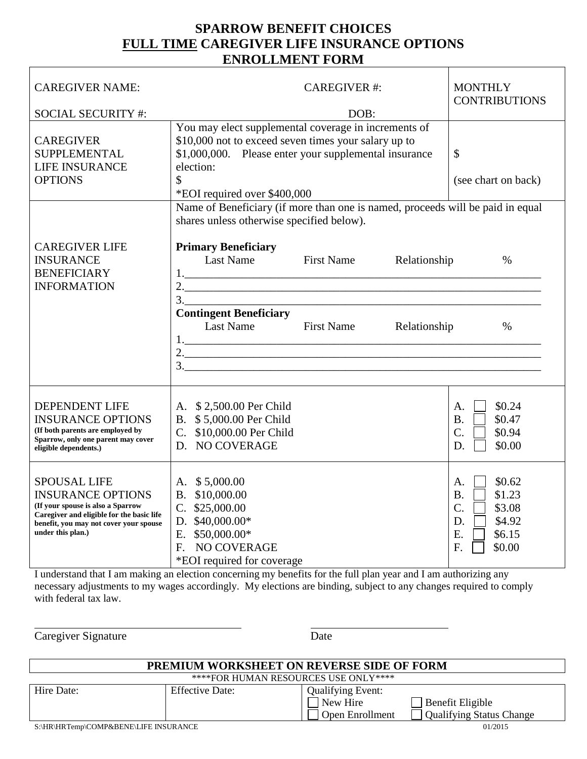## **SPARROW BENEFIT CHOICES FULL TIME CAREGIVER LIFE INSURANCE OPTIONS ENROLLMENT FORM**

| <b>CAREGIVER NAME:</b><br><b>SOCIAL SECURITY #:</b>                                                                                                                                              |                                                                                                                                                                                                                                                                                                            | <b>MONTHLY</b><br><b>CONTRIBUTIONS</b> |                              |                                                                                                                  |
|--------------------------------------------------------------------------------------------------------------------------------------------------------------------------------------------------|------------------------------------------------------------------------------------------------------------------------------------------------------------------------------------------------------------------------------------------------------------------------------------------------------------|----------------------------------------|------------------------------|------------------------------------------------------------------------------------------------------------------|
| <b>CAREGIVER</b><br><b>SUPPLEMENTAL</b><br><b>LIFE INSURANCE</b><br><b>OPTIONS</b>                                                                                                               | You may elect supplemental coverage in increments of<br>\$10,000 not to exceed seven times your salary up to<br>\$1,000,000. Please enter your supplemental insurance<br>election:<br>\$<br>*EOI required over \$400,000<br>Name of Beneficiary (if more than one is named, proceeds will be paid in equal | \$<br>(see chart on back)              |                              |                                                                                                                  |
| <b>CAREGIVER LIFE</b><br><b>INSURANCE</b><br><b>BENEFICIARY</b><br><b>INFORMATION</b>                                                                                                            | shares unless otherwise specified below).<br><b>Primary Beneficiary</b><br>Last Name<br><b>Contingent Beneficiary</b><br>Last Name                                                                                                                                                                         | <b>First Name</b><br><b>First Name</b> | Relationship<br>Relationship | $\%$<br>$\%$                                                                                                     |
| <b>DEPENDENT LIFE</b><br><b>INSURANCE OPTIONS</b><br>(If both parents are employed by<br>Sparrow, only one parent may cover<br>eligible dependents.)                                             | A. \$2,500.00 Per Child<br>B. \$5,000.00 Per Child<br>C. \$10,000.00 Per Child<br>D. NO COVERAGE                                                                                                                                                                                                           |                                        |                              | \$0.24<br>А.<br><b>B.</b><br>\$0.47<br>$\mathcal{C}$ .<br>\$0.94<br>D.<br>\$0.00                                 |
| <b>SPOUSAL LIFE</b><br><b>INSURANCE OPTIONS</b><br>(If your spouse is also a Sparrow<br>Caregiver and eligible for the basic life<br>benefit, you may not cover your spouse<br>under this plan.) | A. \$5,000.00<br>B. \$10,000.00<br>C. \$25,000.00<br>D. $$40,000.00*$<br>E. $$50,000.00*$<br>NO COVERAGE<br>$F_{\perp}$<br>*EOI required for coverage                                                                                                                                                      |                                        |                              | \$0.62<br>А.<br>\$1.23<br><b>B.</b><br>$\mathcal{C}$ .<br>\$3.08<br>\$4.92<br>D.<br>Ε.<br>\$6.15<br>\$0.00<br>F. |

I understand that I am making an election concerning my benefits for the full plan year and I am authorizing any necessary adjustments to my wages accordingly. My elections are binding, subject to any changes required to comply with federal tax law.

Caregiver Signature Date

 $\overline{a}$ 

| <b>PREMIUM WORKSHEET ON REVERSE SIDE OF FORM</b> |                        |                                                                |                                              |  |  |  |  |
|--------------------------------------------------|------------------------|----------------------------------------------------------------|----------------------------------------------|--|--|--|--|
| ****FOR HUMAN RESOURCES USE ONLY****             |                        |                                                                |                                              |  |  |  |  |
| Hire Date:                                       | <b>Effective Date:</b> | <b>Qualifying Event:</b><br>New Hire<br><b>Open Enrollment</b> | Benefit Eligible<br>Qualifying Status Change |  |  |  |  |
| S:\HR\HRTemp\COMP&BENE\LIFE INSURANCE            |                        |                                                                | 01/2015                                      |  |  |  |  |